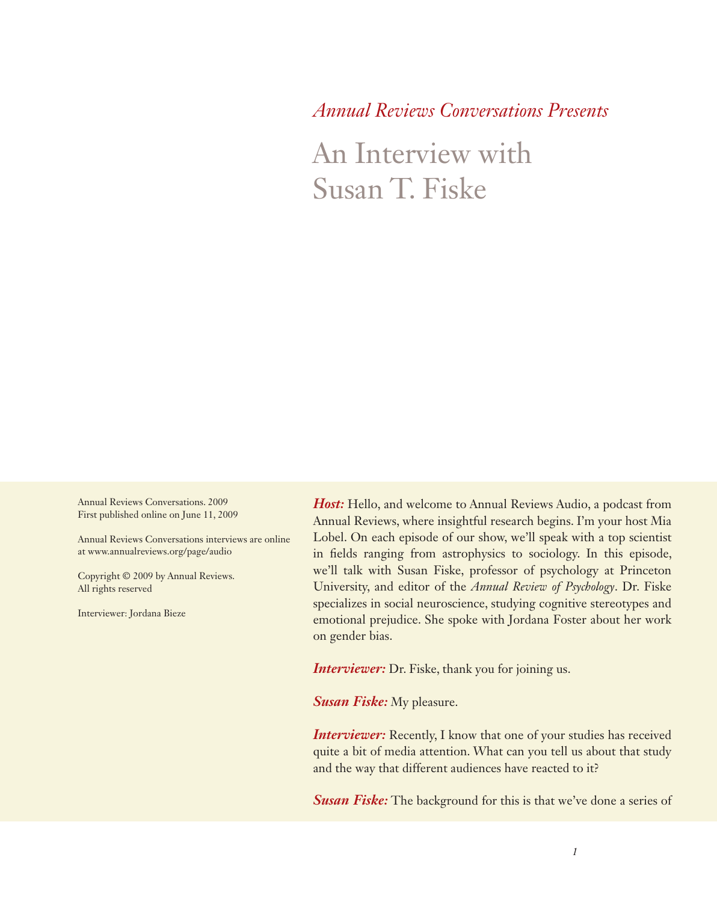*Annual Reviews Conversations Presents*

An Interview with Susan T. Fiske

Annual Reviews Conversations. 2009 First published online on June 11, 2009

Annual Reviews Conversations interviews are online at www.annualreviews.org/page/audio

Copyright © 2009 by Annual Reviews. All rights reserved

Interviewer: Jordana Bieze

*Host:* Hello, and welcome to Annual Reviews Audio, a podcast from Annual Reviews, where insightful research begins. I'm your host Mia Lobel. On each episode of our show, we'll speak with a top scientist in fields ranging from astrophysics to sociology. In this episode, we'll talk with Susan Fiske, professor of psychology at Princeton University, and editor of the *Annual Review of Psychology*. Dr. Fiske specializes in social neuroscience, studying cognitive stereotypes and emotional prejudice. She spoke with Jordana Foster about her work on gender bias.

*Interviewer:* Dr. Fiske, thank you for joining us.

*Susan Fiske:* My pleasure.

**Interviewer:** Recently, I know that one of your studies has received quite a bit of media attention. What can you tell us about that study and the way that different audiences have reacted to it?

**Susan Fiske:** The background for this is that we've done a series of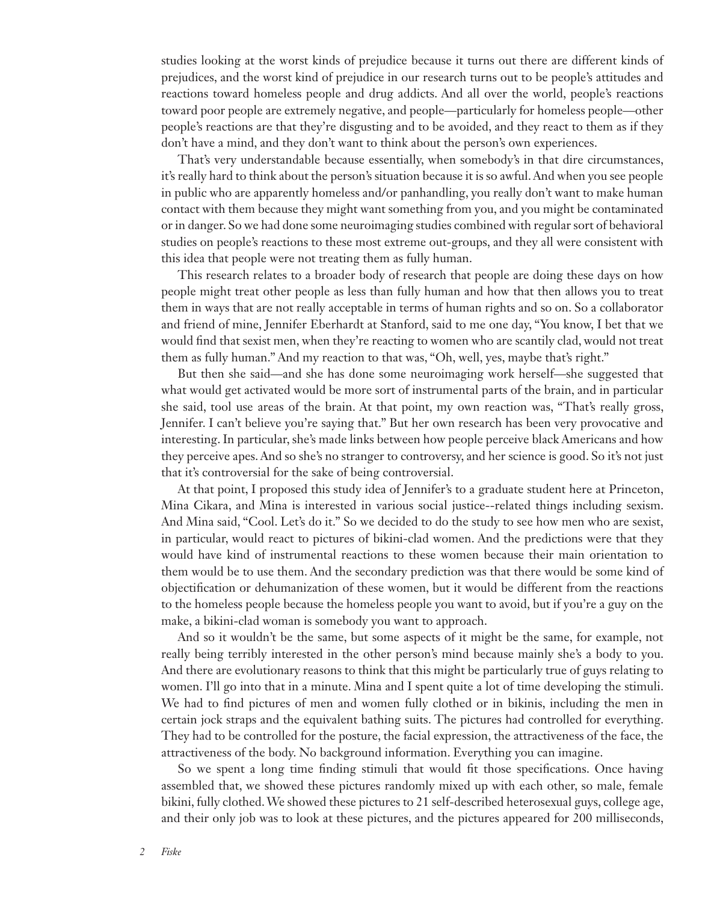studies looking at the worst kinds of prejudice because it turns out there are different kinds of prejudices, and the worst kind of prejudice in our research turns out to be people's attitudes and reactions toward homeless people and drug addicts. And all over the world, people's reactions toward poor people are extremely negative, and people—particularly for homeless people—other people's reactions are that they're disgusting and to be avoided, and they react to them as if they don't have a mind, and they don't want to think about the person's own experiences.

That's very understandable because essentially, when somebody's in that dire circumstances, it's really hard to think about the person's situation because it is so awful. And when you see people in public who are apparently homeless and/or panhandling, you really don't want to make human contact with them because they might want something from you, and you might be contaminated or in danger. So we had done some neuroimaging studies combined with regular sort of behavioral studies on people's reactions to these most extreme out-groups, and they all were consistent with this idea that people were not treating them as fully human.

This research relates to a broader body of research that people are doing these days on how people might treat other people as less than fully human and how that then allows you to treat them in ways that are not really acceptable in terms of human rights and so on. So a collaborator and friend of mine, Jennifer Eberhardt at Stanford, said to me one day, "You know, I bet that we would find that sexist men, when they're reacting to women who are scantily clad, would not treat them as fully human." And my reaction to that was, "Oh, well, yes, maybe that's right."

But then she said—and she has done some neuroimaging work herself—she suggested that what would get activated would be more sort of instrumental parts of the brain, and in particular she said, tool use areas of the brain. At that point, my own reaction was, "That's really gross, Jennifer. I can't believe you're saying that." But her own research has been very provocative and interesting. In particular, she's made links between how people perceive black Americans and how they perceive apes. And so she's no stranger to controversy, and her science is good. So it's not just that it's controversial for the sake of being controversial.

At that point, I proposed this study idea of Jennifer's to a graduate student here at Princeton, Mina Cikara, and Mina is interested in various social justice--related things including sexism. And Mina said, "Cool. Let's do it." So we decided to do the study to see how men who are sexist, in particular, would react to pictures of bikini-clad women. And the predictions were that they would have kind of instrumental reactions to these women because their main orientation to them would be to use them. And the secondary prediction was that there would be some kind of objectification or dehumanization of these women, but it would be different from the reactions to the homeless people because the homeless people you want to avoid, but if you're a guy on the make, a bikini-clad woman is somebody you want to approach.

And so it wouldn't be the same, but some aspects of it might be the same, for example, not really being terribly interested in the other person's mind because mainly she's a body to you. And there are evolutionary reasons to think that this might be particularly true of guys relating to women. I'll go into that in a minute. Mina and I spent quite a lot of time developing the stimuli. We had to find pictures of men and women fully clothed or in bikinis, including the men in certain jock straps and the equivalent bathing suits. The pictures had controlled for everything. They had to be controlled for the posture, the facial expression, the attractiveness of the face, the attractiveness of the body. No background information. Everything you can imagine.

So we spent a long time finding stimuli that would fit those specifications. Once having assembled that, we showed these pictures randomly mixed up with each other, so male, female bikini, fully clothed. We showed these pictures to 21 self-described heterosexual guys, college age, and their only job was to look at these pictures, and the pictures appeared for 200 milliseconds,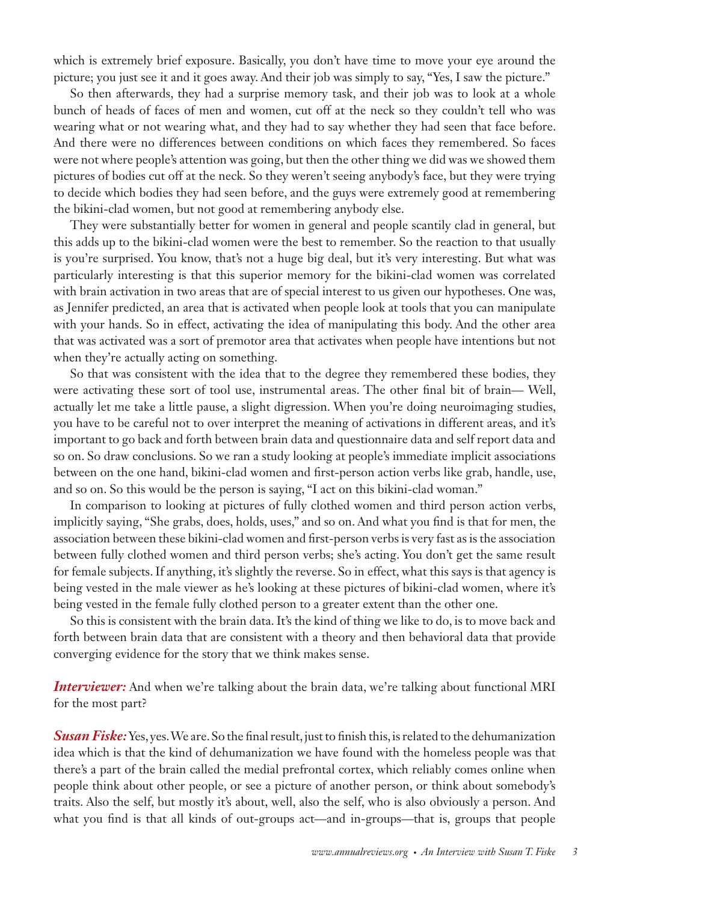which is extremely brief exposure. Basically, you don't have time to move your eye around the picture; you just see it and it goes away. And their job was simply to say, "Yes, I saw the picture."

So then afterwards, they had a surprise memory task, and their job was to look at a whole bunch of heads of faces of men and women, cut off at the neck so they couldn't tell who was wearing what or not wearing what, and they had to say whether they had seen that face before. And there were no differences between conditions on which faces they remembered. So faces were not where people's attention was going, but then the other thing we did was we showed them pictures of bodies cut off at the neck. So they weren't seeing anybody's face, but they were trying to decide which bodies they had seen before, and the guys were extremely good at remembering the bikini-clad women, but not good at remembering anybody else.

They were substantially better for women in general and people scantily clad in general, but this adds up to the bikini-clad women were the best to remember. So the reaction to that usually is you're surprised. You know, that's not a huge big deal, but it's very interesting. But what was particularly interesting is that this superior memory for the bikini-clad women was correlated with brain activation in two areas that are of special interest to us given our hypotheses. One was, as Jennifer predicted, an area that is activated when people look at tools that you can manipulate with your hands. So in effect, activating the idea of manipulating this body. And the other area that was activated was a sort of premotor area that activates when people have intentions but not when they're actually acting on something.

So that was consistent with the idea that to the degree they remembered these bodies, they were activating these sort of tool use, instrumental areas. The other final bit of brain— Well, actually let me take a little pause, a slight digression. When you're doing neuroimaging studies, you have to be careful not to over interpret the meaning of activations in different areas, and it's important to go back and forth between brain data and questionnaire data and self report data and so on. So draw conclusions. So we ran a study looking at people's immediate implicit associations between on the one hand, bikini-clad women and first-person action verbs like grab, handle, use, and so on. So this would be the person is saying, "I act on this bikini-clad woman."

In comparison to looking at pictures of fully clothed women and third person action verbs, implicitly saying, "She grabs, does, holds, uses," and so on. And what you find is that for men, the association between these bikini-clad women and first-person verbs is very fast as is the association between fully clothed women and third person verbs; she's acting. You don't get the same result for female subjects. If anything, it's slightly the reverse. So in effect, what this says is that agency is being vested in the male viewer as he's looking at these pictures of bikini-clad women, where it's being vested in the female fully clothed person to a greater extent than the other one.

So this is consistent with the brain data. It's the kind of thing we like to do, is to move back and forth between brain data that are consistent with a theory and then behavioral data that provide converging evidence for the story that we think makes sense.

*Interviewer:* And when we're talking about the brain data, we're talking about functional MRI for the most part?

**Susan Fiske:** Yes, yes. We are. So the final result, just to finish this, is related to the dehumanization idea which is that the kind of dehumanization we have found with the homeless people was that there's a part of the brain called the medial prefrontal cortex, which reliably comes online when people think about other people, or see a picture of another person, or think about somebody's traits. Also the self, but mostly it's about, well, also the self, who is also obviously a person. And what you find is that all kinds of out-groups act—and in-groups—that is, groups that people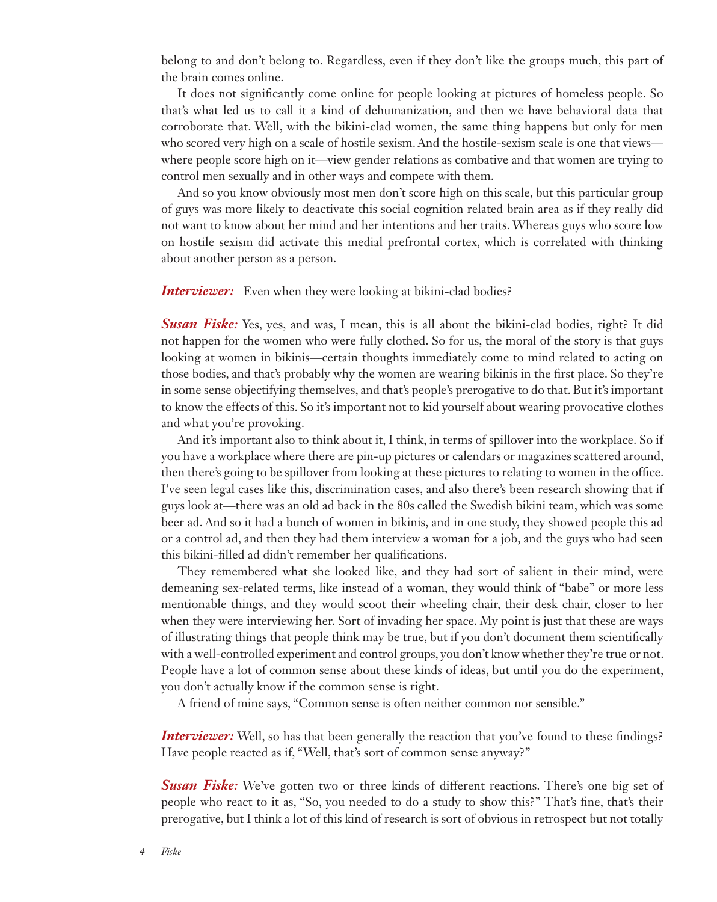belong to and don't belong to. Regardless, even if they don't like the groups much, this part of the brain comes online.

It does not significantly come online for people looking at pictures of homeless people. So that's what led us to call it a kind of dehumanization, and then we have behavioral data that corroborate that. Well, with the bikini-clad women, the same thing happens but only for men who scored very high on a scale of hostile sexism. And the hostile-sexism scale is one that views where people score high on it—view gender relations as combative and that women are trying to control men sexually and in other ways and compete with them.

And so you know obviously most men don't score high on this scale, but this particular group of guys was more likely to deactivate this social cognition related brain area as if they really did not want to know about her mind and her intentions and her traits. Whereas guys who score low on hostile sexism did activate this medial prefrontal cortex, which is correlated with thinking about another person as a person.

## *Interviewer:* Even when they were looking at bikini-clad bodies?

**Susan Fiske:** Yes, yes, and was, I mean, this is all about the bikini-clad bodies, right? It did not happen for the women who were fully clothed. So for us, the moral of the story is that guys looking at women in bikinis—certain thoughts immediately come to mind related to acting on those bodies, and that's probably why the women are wearing bikinis in the first place. So they're in some sense objectifying themselves, and that's people's prerogative to do that. But it's important to know the effects of this. So it's important not to kid yourself about wearing provocative clothes and what you're provoking.

And it's important also to think about it, I think, in terms of spillover into the workplace. So if you have a workplace where there are pin-up pictures or calendars or magazines scattered around, then there's going to be spillover from looking at these pictures to relating to women in the office. I've seen legal cases like this, discrimination cases, and also there's been research showing that if guys look at—there was an old ad back in the 80s called the Swedish bikini team, which was some beer ad. And so it had a bunch of women in bikinis, and in one study, they showed people this ad or a control ad, and then they had them interview a woman for a job, and the guys who had seen this bikini-filled ad didn't remember her qualifications.

They remembered what she looked like, and they had sort of salient in their mind, were demeaning sex-related terms, like instead of a woman, they would think of "babe" or more less mentionable things, and they would scoot their wheeling chair, their desk chair, closer to her when they were interviewing her. Sort of invading her space. My point is just that these are ways of illustrating things that people think may be true, but if you don't document them scientifically with a well-controlled experiment and control groups, you don't know whether they're true or not. People have a lot of common sense about these kinds of ideas, but until you do the experiment, you don't actually know if the common sense is right.

A friend of mine says, "Common sense is often neither common nor sensible."

*Interviewer:* Well, so has that been generally the reaction that you've found to these findings? Have people reacted as if, "Well, that's sort of common sense anyway?"

*Susan Fiske:* We've gotten two or three kinds of different reactions. There's one big set of people who react to it as, "So, you needed to do a study to show this?" That's fine, that's their prerogative, but I think a lot of this kind of research is sort of obvious in retrospect but not totally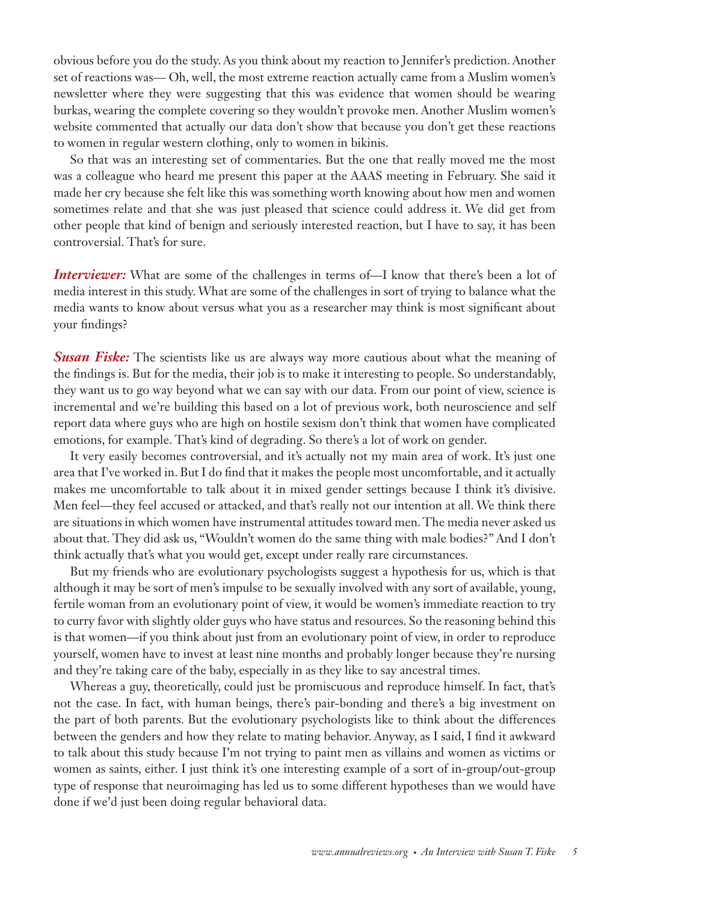obvious before you do the study. As you think about my reaction to Jennifer's prediction. Another set of reactions was— Oh, well, the most extreme reaction actually came from a Muslim women's newsletter where they were suggesting that this was evidence that women should be wearing burkas, wearing the complete covering so they wouldn't provoke men. Another Muslim women's website commented that actually our data don't show that because you don't get these reactions to women in regular western clothing, only to women in bikinis.

So that was an interesting set of commentaries. But the one that really moved me the most was a colleague who heard me present this paper at the AAAS meeting in February. She said it made her cry because she felt like this was something worth knowing about how men and women sometimes relate and that she was just pleased that science could address it. We did get from other people that kind of benign and seriously interested reaction, but I have to say, it has been controversial. That's for sure.

*Interviewer:* What are some of the challenges in terms of—I know that there's been a lot of media interest in this study. What are some of the challenges in sort of trying to balance what the media wants to know about versus what you as a researcher may think is most significant about your findings?

**Susan Fiske:** The scientists like us are always way more cautious about what the meaning of the findings is. But for the media, their job is to make it interesting to people. So understandably, they want us to go way beyond what we can say with our data. From our point of view, science is incremental and we're building this based on a lot of previous work, both neuroscience and self report data where guys who are high on hostile sexism don't think that women have complicated emotions, for example. That's kind of degrading. So there's a lot of work on gender.

It very easily becomes controversial, and it's actually not my main area of work. It's just one area that I've worked in. But I do find that it makes the people most uncomfortable, and it actually makes me uncomfortable to talk about it in mixed gender settings because I think it's divisive. Men feel—they feel accused or attacked, and that's really not our intention at all. We think there are situations in which women have instrumental attitudes toward men. The media never asked us about that. They did ask us, "Wouldn't women do the same thing with male bodies?" And I don't think actually that's what you would get, except under really rare circumstances.

But my friends who are evolutionary psychologists suggest a hypothesis for us, which is that although it may be sort of men's impulse to be sexually involved with any sort of available, young, fertile woman from an evolutionary point of view, it would be women's immediate reaction to try to curry favor with slightly older guys who have status and resources. So the reasoning behind this is that women—if you think about just from an evolutionary point of view, in order to reproduce yourself, women have to invest at least nine months and probably longer because they're nursing and they're taking care of the baby, especially in as they like to say ancestral times.

Whereas a guy, theoretically, could just be promiscuous and reproduce himself. In fact, that's not the case. In fact, with human beings, there's pair-bonding and there's a big investment on the part of both parents. But the evolutionary psychologists like to think about the differences between the genders and how they relate to mating behavior. Anyway, as I said, I find it awkward to talk about this study because I'm not trying to paint men as villains and women as victims or women as saints, either. I just think it's one interesting example of a sort of in-group/out-group type of response that neuroimaging has led us to some different hypotheses than we would have done if we'd just been doing regular behavioral data.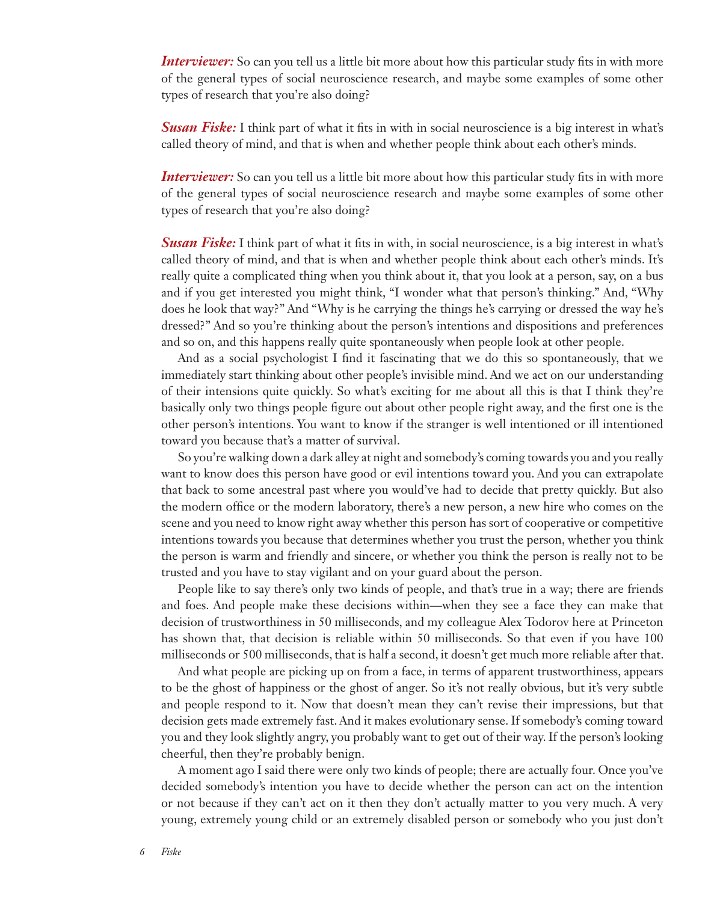*Interviewer:* So can you tell us a little bit more about how this particular study fits in with more of the general types of social neuroscience research, and maybe some examples of some other types of research that you're also doing?

*Susan Fiske:* I think part of what it fits in with in social neuroscience is a big interest in what's called theory of mind, and that is when and whether people think about each other's minds.

*Interviewer:* So can you tell us a little bit more about how this particular study fits in with more of the general types of social neuroscience research and maybe some examples of some other types of research that you're also doing?

*Susan Fiske:* I think part of what it fits in with, in social neuroscience, is a big interest in what's called theory of mind, and that is when and whether people think about each other's minds. It's really quite a complicated thing when you think about it, that you look at a person, say, on a bus and if you get interested you might think, "I wonder what that person's thinking." And, "Why does he look that way?" And "Why is he carrying the things he's carrying or dressed the way he's dressed?" And so you're thinking about the person's intentions and dispositions and preferences and so on, and this happens really quite spontaneously when people look at other people.

And as a social psychologist I find it fascinating that we do this so spontaneously, that we immediately start thinking about other people's invisible mind. And we act on our understanding of their intensions quite quickly. So what's exciting for me about all this is that I think they're basically only two things people figure out about other people right away, and the first one is the other person's intentions. You want to know if the stranger is well intentioned or ill intentioned toward you because that's a matter of survival.

So you're walking down a dark alley at night and somebody's coming towards you and you really want to know does this person have good or evil intentions toward you. And you can extrapolate that back to some ancestral past where you would've had to decide that pretty quickly. But also the modern office or the modern laboratory, there's a new person, a new hire who comes on the scene and you need to know right away whether this person has sort of cooperative or competitive intentions towards you because that determines whether you trust the person, whether you think the person is warm and friendly and sincere, or whether you think the person is really not to be trusted and you have to stay vigilant and on your guard about the person.

People like to say there's only two kinds of people, and that's true in a way; there are friends and foes. And people make these decisions within—when they see a face they can make that decision of trustworthiness in 50 milliseconds, and my colleague Alex Todorov here at Princeton has shown that, that decision is reliable within 50 milliseconds. So that even if you have 100 milliseconds or 500 milliseconds, that is half a second, it doesn't get much more reliable after that.

And what people are picking up on from a face, in terms of apparent trustworthiness, appears to be the ghost of happiness or the ghost of anger. So it's not really obvious, but it's very subtle and people respond to it. Now that doesn't mean they can't revise their impressions, but that decision gets made extremely fast. And it makes evolutionary sense. If somebody's coming toward you and they look slightly angry, you probably want to get out of their way. If the person's looking cheerful, then they're probably benign.

A moment ago I said there were only two kinds of people; there are actually four. Once you've decided somebody's intention you have to decide whether the person can act on the intention or not because if they can't act on it then they don't actually matter to you very much. A very young, extremely young child or an extremely disabled person or somebody who you just don't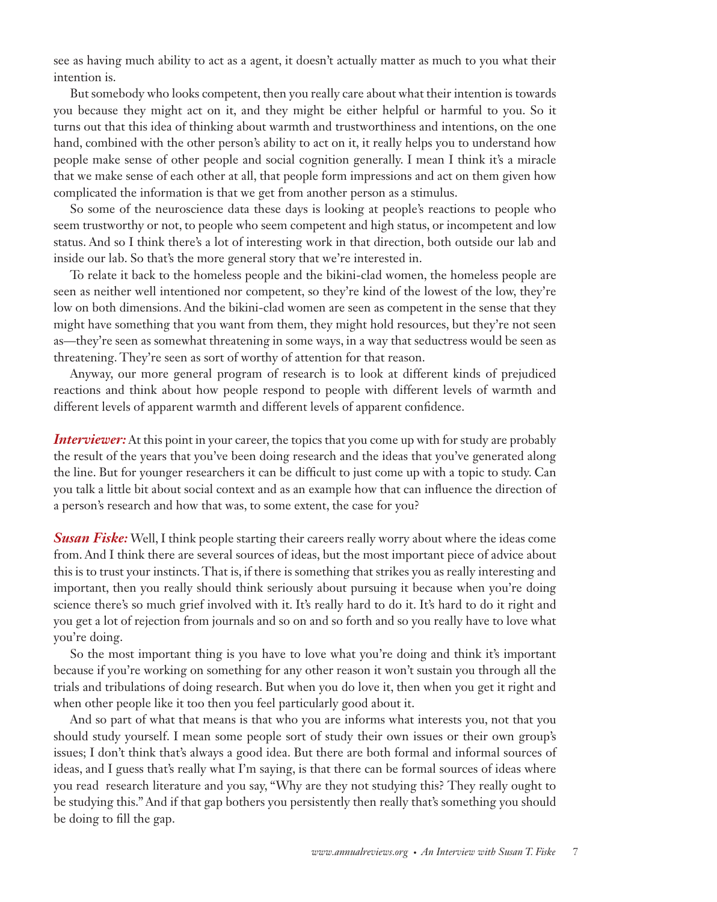see as having much ability to act as a agent, it doesn't actually matter as much to you what their intention is.

But somebody who looks competent, then you really care about what their intention is towards you because they might act on it, and they might be either helpful or harmful to you. So it turns out that this idea of thinking about warmth and trustworthiness and intentions, on the one hand, combined with the other person's ability to act on it, it really helps you to understand how people make sense of other people and social cognition generally. I mean I think it's a miracle that we make sense of each other at all, that people form impressions and act on them given how complicated the information is that we get from another person as a stimulus.

So some of the neuroscience data these days is looking at people's reactions to people who seem trustworthy or not, to people who seem competent and high status, or incompetent and low status. And so I think there's a lot of interesting work in that direction, both outside our lab and inside our lab. So that's the more general story that we're interested in.

To relate it back to the homeless people and the bikini-clad women, the homeless people are seen as neither well intentioned nor competent, so they're kind of the lowest of the low, they're low on both dimensions. And the bikini-clad women are seen as competent in the sense that they might have something that you want from them, they might hold resources, but they're not seen as—they're seen as somewhat threatening in some ways, in a way that seductress would be seen as threatening. They're seen as sort of worthy of attention for that reason.

Anyway, our more general program of research is to look at different kinds of prejudiced reactions and think about how people respond to people with different levels of warmth and different levels of apparent warmth and different levels of apparent confidence.

*Interviewer:* At this point in your career, the topics that you come up with for study are probably the result of the years that you've been doing research and the ideas that you've generated along the line. But for younger researchers it can be difficult to just come up with a topic to study. Can you talk a little bit about social context and as an example how that can influence the direction of a person's research and how that was, to some extent, the case for you?

**Susan Fiske:** Well, I think people starting their careers really worry about where the ideas come from. And I think there are several sources of ideas, but the most important piece of advice about this is to trust your instincts. That is, if there is something that strikes you as really interesting and important, then you really should think seriously about pursuing it because when you're doing science there's so much grief involved with it. It's really hard to do it. It's hard to do it right and you get a lot of rejection from journals and so on and so forth and so you really have to love what you're doing.

So the most important thing is you have to love what you're doing and think it's important because if you're working on something for any other reason it won't sustain you through all the trials and tribulations of doing research. But when you do love it, then when you get it right and when other people like it too then you feel particularly good about it.

And so part of what that means is that who you are informs what interests you, not that you should study yourself. I mean some people sort of study their own issues or their own group's issues; I don't think that's always a good idea. But there are both formal and informal sources of ideas, and I guess that's really what I'm saying, is that there can be formal sources of ideas where you read research literature and you say, "Why are they not studying this? They really ought to be studying this." And if that gap bothers you persistently then really that's something you should be doing to fill the gap.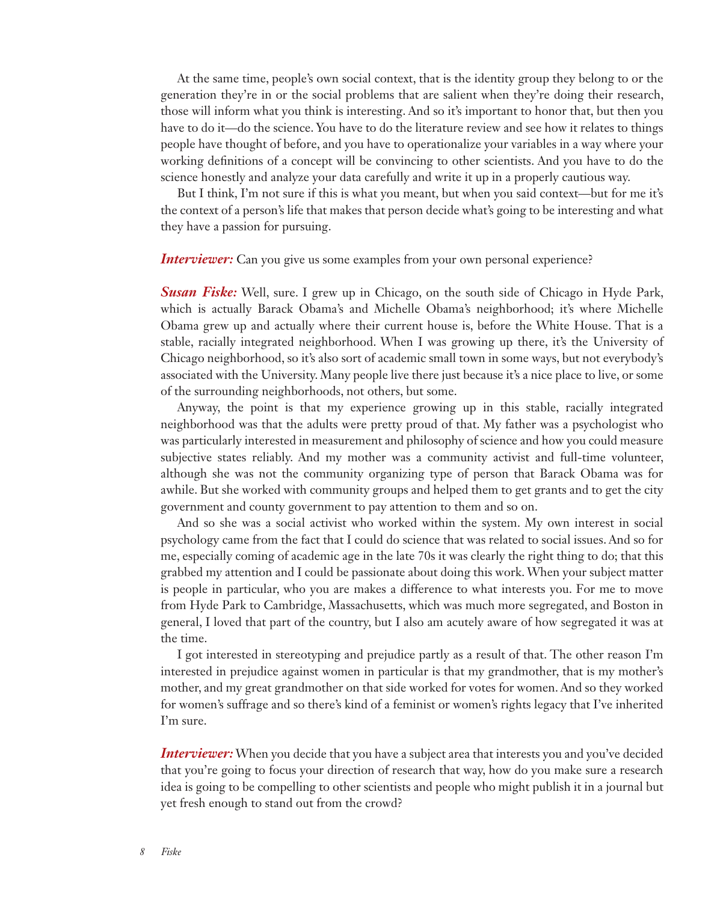At the same time, people's own social context, that is the identity group they belong to or the generation they're in or the social problems that are salient when they're doing their research, those will inform what you think is interesting. And so it's important to honor that, but then you have to do it—do the science. You have to do the literature review and see how it relates to things people have thought of before, and you have to operationalize your variables in a way where your working definitions of a concept will be convincing to other scientists. And you have to do the science honestly and analyze your data carefully and write it up in a properly cautious way.

But I think, I'm not sure if this is what you meant, but when you said context—but for me it's the context of a person's life that makes that person decide what's going to be interesting and what they have a passion for pursuing.

## *Interviewer:* Can you give us some examples from your own personal experience?

*Susan Fiske:* Well, sure. I grew up in Chicago, on the south side of Chicago in Hyde Park, which is actually Barack Obama's and Michelle Obama's neighborhood; it's where Michelle Obama grew up and actually where their current house is, before the White House. That is a stable, racially integrated neighborhood. When I was growing up there, it's the University of Chicago neighborhood, so it's also sort of academic small town in some ways, but not everybody's associated with the University. Many people live there just because it's a nice place to live, or some of the surrounding neighborhoods, not others, but some.

Anyway, the point is that my experience growing up in this stable, racially integrated neighborhood was that the adults were pretty proud of that. My father was a psychologist who was particularly interested in measurement and philosophy of science and how you could measure subjective states reliably. And my mother was a community activist and full-time volunteer, although she was not the community organizing type of person that Barack Obama was for awhile. But she worked with community groups and helped them to get grants and to get the city government and county government to pay attention to them and so on.

And so she was a social activist who worked within the system. My own interest in social psychology came from the fact that I could do science that was related to social issues. And so for me, especially coming of academic age in the late 70s it was clearly the right thing to do; that this grabbed my attention and I could be passionate about doing this work. When your subject matter is people in particular, who you are makes a difference to what interests you. For me to move from Hyde Park to Cambridge, Massachusetts, which was much more segregated, and Boston in general, I loved that part of the country, but I also am acutely aware of how segregated it was at the time.

I got interested in stereotyping and prejudice partly as a result of that. The other reason I'm interested in prejudice against women in particular is that my grandmother, that is my mother's mother, and my great grandmother on that side worked for votes for women. And so they worked for women's suffrage and so there's kind of a feminist or women's rights legacy that I've inherited I'm sure.

*Interviewer:* When you decide that you have a subject area that interests you and you've decided that you're going to focus your direction of research that way, how do you make sure a research idea is going to be compelling to other scientists and people who might publish it in a journal but yet fresh enough to stand out from the crowd?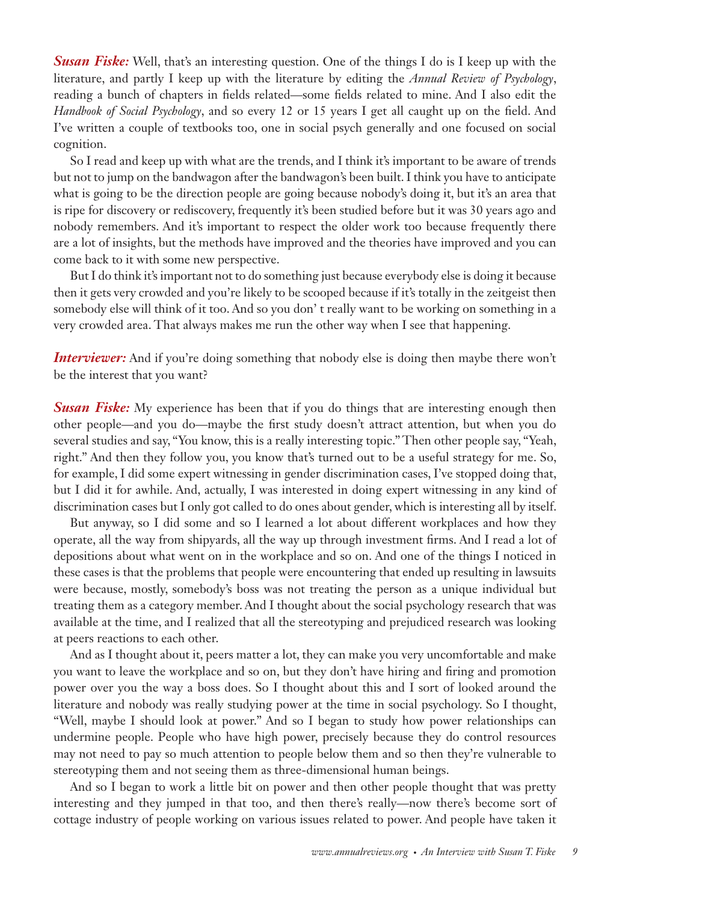**Susan Fiske:** Well, that's an interesting question. One of the things I do is I keep up with the literature, and partly I keep up with the literature by editing the *Annual Review of Psychology*, reading a bunch of chapters in fields related—some fields related to mine. And I also edit the *Handbook of Social Psychology*, and so every 12 or 15 years I get all caught up on the field. And I've written a couple of textbooks too, one in social psych generally and one focused on social cognition.

So I read and keep up with what are the trends, and I think it's important to be aware of trends but not to jump on the bandwagon after the bandwagon's been built. I think you have to anticipate what is going to be the direction people are going because nobody's doing it, but it's an area that is ripe for discovery or rediscovery, frequently it's been studied before but it was 30 years ago and nobody remembers. And it's important to respect the older work too because frequently there are a lot of insights, but the methods have improved and the theories have improved and you can come back to it with some new perspective.

But I do think it's important not to do something just because everybody else is doing it because then it gets very crowded and you're likely to be scooped because if it's totally in the zeitgeist then somebody else will think of it too. And so you don' t really want to be working on something in a very crowded area. That always makes me run the other way when I see that happening.

*Interviewer:* And if you're doing something that nobody else is doing then maybe there won't be the interest that you want?

**Susan Fiske:** My experience has been that if you do things that are interesting enough then other people—and you do—maybe the first study doesn't attract attention, but when you do several studies and say, "You know, this is a really interesting topic." Then other people say, "Yeah, right." And then they follow you, you know that's turned out to be a useful strategy for me. So, for example, I did some expert witnessing in gender discrimination cases, I've stopped doing that, but I did it for awhile. And, actually, I was interested in doing expert witnessing in any kind of discrimination cases but I only got called to do ones about gender, which is interesting all by itself.

But anyway, so I did some and so I learned a lot about different workplaces and how they operate, all the way from shipyards, all the way up through investment firms. And I read a lot of depositions about what went on in the workplace and so on. And one of the things I noticed in these cases is that the problems that people were encountering that ended up resulting in lawsuits were because, mostly, somebody's boss was not treating the person as a unique individual but treating them as a category member. And I thought about the social psychology research that was available at the time, and I realized that all the stereotyping and prejudiced research was looking at peers reactions to each other.

And as I thought about it, peers matter a lot, they can make you very uncomfortable and make you want to leave the workplace and so on, but they don't have hiring and firing and promotion power over you the way a boss does. So I thought about this and I sort of looked around the literature and nobody was really studying power at the time in social psychology. So I thought, "Well, maybe I should look at power." And so I began to study how power relationships can undermine people. People who have high power, precisely because they do control resources may not need to pay so much attention to people below them and so then they're vulnerable to stereotyping them and not seeing them as three-dimensional human beings.

And so I began to work a little bit on power and then other people thought that was pretty interesting and they jumped in that too, and then there's really—now there's become sort of cottage industry of people working on various issues related to power. And people have taken it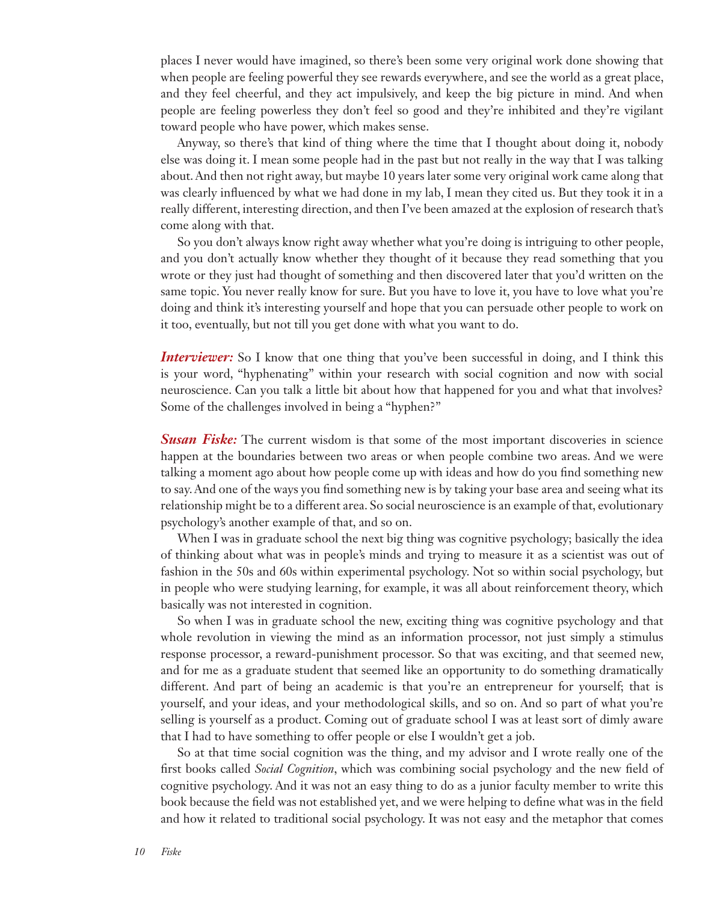places I never would have imagined, so there's been some very original work done showing that when people are feeling powerful they see rewards everywhere, and see the world as a great place, and they feel cheerful, and they act impulsively, and keep the big picture in mind. And when people are feeling powerless they don't feel so good and they're inhibited and they're vigilant toward people who have power, which makes sense.

Anyway, so there's that kind of thing where the time that I thought about doing it, nobody else was doing it. I mean some people had in the past but not really in the way that I was talking about. And then not right away, but maybe 10 years later some very original work came along that was clearly influenced by what we had done in my lab, I mean they cited us. But they took it in a really different, interesting direction, and then I've been amazed at the explosion of research that's come along with that.

So you don't always know right away whether what you're doing is intriguing to other people, and you don't actually know whether they thought of it because they read something that you wrote or they just had thought of something and then discovered later that you'd written on the same topic. You never really know for sure. But you have to love it, you have to love what you're doing and think it's interesting yourself and hope that you can persuade other people to work on it too, eventually, but not till you get done with what you want to do.

*Interviewer:* So I know that one thing that you've been successful in doing, and I think this is your word, "hyphenating" within your research with social cognition and now with social neuroscience. Can you talk a little bit about how that happened for you and what that involves? Some of the challenges involved in being a "hyphen?"

**Susan Fiske:** The current wisdom is that some of the most important discoveries in science happen at the boundaries between two areas or when people combine two areas. And we were talking a moment ago about how people come up with ideas and how do you find something new to say. And one of the ways you find something new is by taking your base area and seeing what its relationship might be to a different area. So social neuroscience is an example of that, evolutionary psychology's another example of that, and so on.

When I was in graduate school the next big thing was cognitive psychology; basically the idea of thinking about what was in people's minds and trying to measure it as a scientist was out of fashion in the 50s and 60s within experimental psychology. Not so within social psychology, but in people who were studying learning, for example, it was all about reinforcement theory, which basically was not interested in cognition.

So when I was in graduate school the new, exciting thing was cognitive psychology and that whole revolution in viewing the mind as an information processor, not just simply a stimulus response processor, a reward-punishment processor. So that was exciting, and that seemed new, and for me as a graduate student that seemed like an opportunity to do something dramatically different. And part of being an academic is that you're an entrepreneur for yourself; that is yourself, and your ideas, and your methodological skills, and so on. And so part of what you're selling is yourself as a product. Coming out of graduate school I was at least sort of dimly aware that I had to have something to offer people or else I wouldn't get a job.

So at that time social cognition was the thing, and my advisor and I wrote really one of the first books called *Social Cognition*, which was combining social psychology and the new field of cognitive psychology. And it was not an easy thing to do as a junior faculty member to write this book because the field was not established yet, and we were helping to define what was in the field and how it related to traditional social psychology. It was not easy and the metaphor that comes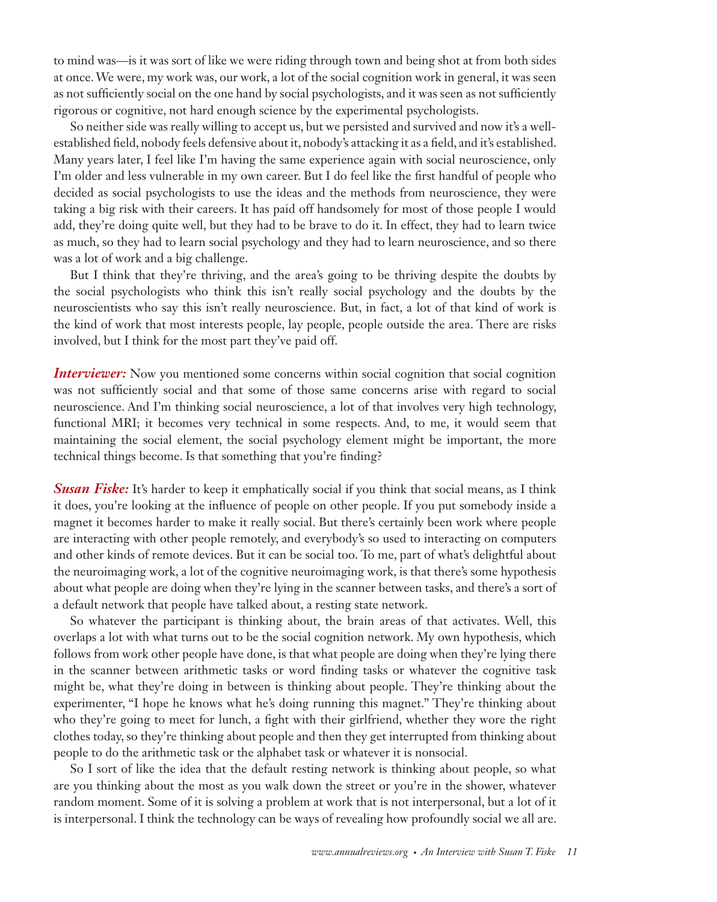to mind was—is it was sort of like we were riding through town and being shot at from both sides at once. We were, my work was, our work, a lot of the social cognition work in general, it was seen as not sufficiently social on the one hand by social psychologists, and it was seen as not sufficiently rigorous or cognitive, not hard enough science by the experimental psychologists.

So neither side was really willing to accept us, but we persisted and survived and now it's a wellestablished field, nobody feels defensive about it, nobody's attacking it as a field, and it's established. Many years later, I feel like I'm having the same experience again with social neuroscience, only I'm older and less vulnerable in my own career. But I do feel like the first handful of people who decided as social psychologists to use the ideas and the methods from neuroscience, they were taking a big risk with their careers. It has paid off handsomely for most of those people I would add, they're doing quite well, but they had to be brave to do it. In effect, they had to learn twice as much, so they had to learn social psychology and they had to learn neuroscience, and so there was a lot of work and a big challenge.

But I think that they're thriving, and the area's going to be thriving despite the doubts by the social psychologists who think this isn't really social psychology and the doubts by the neuroscientists who say this isn't really neuroscience. But, in fact, a lot of that kind of work is the kind of work that most interests people, lay people, people outside the area. There are risks involved, but I think for the most part they've paid off.

*Interviewer:* Now you mentioned some concerns within social cognition that social cognition was not sufficiently social and that some of those same concerns arise with regard to social neuroscience. And I'm thinking social neuroscience, a lot of that involves very high technology, functional MRI; it becomes very technical in some respects. And, to me, it would seem that maintaining the social element, the social psychology element might be important, the more technical things become. Is that something that you're finding?

**Susan Fiske:** It's harder to keep it emphatically social if you think that social means, as I think it does, you're looking at the influence of people on other people. If you put somebody inside a magnet it becomes harder to make it really social. But there's certainly been work where people are interacting with other people remotely, and everybody's so used to interacting on computers and other kinds of remote devices. But it can be social too. To me, part of what's delightful about the neuroimaging work, a lot of the cognitive neuroimaging work, is that there's some hypothesis about what people are doing when they're lying in the scanner between tasks, and there's a sort of a default network that people have talked about, a resting state network.

So whatever the participant is thinking about, the brain areas of that activates. Well, this overlaps a lot with what turns out to be the social cognition network. My own hypothesis, which follows from work other people have done, is that what people are doing when they're lying there in the scanner between arithmetic tasks or word finding tasks or whatever the cognitive task might be, what they're doing in between is thinking about people. They're thinking about the experimenter, "I hope he knows what he's doing running this magnet." They're thinking about who they're going to meet for lunch, a fight with their girlfriend, whether they wore the right clothes today, so they're thinking about people and then they get interrupted from thinking about people to do the arithmetic task or the alphabet task or whatever it is nonsocial.

So I sort of like the idea that the default resting network is thinking about people, so what are you thinking about the most as you walk down the street or you're in the shower, whatever random moment. Some of it is solving a problem at work that is not interpersonal, but a lot of it is interpersonal. I think the technology can be ways of revealing how profoundly social we all are.